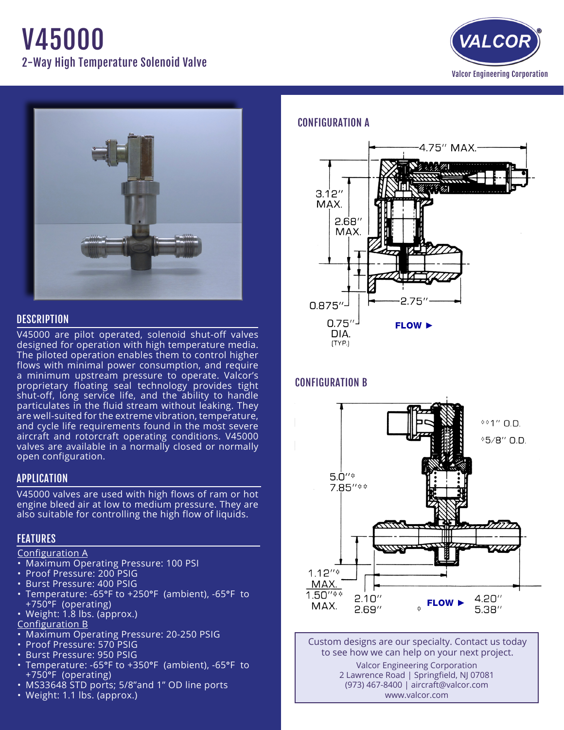# V45000 2-Way High Temperature Solenoid Valve





## **DESCRIPTION**

V45000 are pilot operated, solenoid shut-off valves designed for operation with high temperature media. The piloted operation enables them to control higher flows with minimal power consumption, and require a minimum upstream pressure to operate. Valcor's proprietary floating seal technology provides tight shut-off, long service life, and the ability to handle particulates in the fluid stream without leaking. They are well-suited for the extreme vibration, temperature, and cycle life requirements found in the most severe aircraft and rotorcraft operating conditions. V45000 valves are available in a normally closed or normally open configuration.

## APPLICATION

V45000 valves are used with high flows of ram or hot engine bleed air at low to medium pressure. They are also suitable for controlling the high flow of liquids.

## **FEATURES**

#### Configuration A

- • Maximum Operating Pressure: 100 PSI
- Proof Pressure: 200 PSIG
- • Burst Pressure: 400 PSIG
- Temperature: -65°F to +250°F (ambient), -65°F to +750°F (operating)
- $\cdot$  Weight: 1.8 lbs. (approx.)

#### Configuration B

- Maximum Operating Pressure: 20-250 PSIG
- Proof Pressure: 570 PSIG
- • Burst Pressure: 950 PSIG
- Temperature: -65°F to +350°F (ambient), -65°F to +750°F (operating)
- MS33648 STD ports; 5/8"and 1" OD line ports
- Weight: 1.1 lbs. (approx.)

## CONFIGURATION A



# CONFIGURATION B



Custom designs are our specialty. Contact us today to see how we can help on your next project. Valcor Engineering Corporation 2 Lawrence Road | Springfield, NJ 07081 (973) 467-8400 | aircraft@valcor.com www.valcor.com